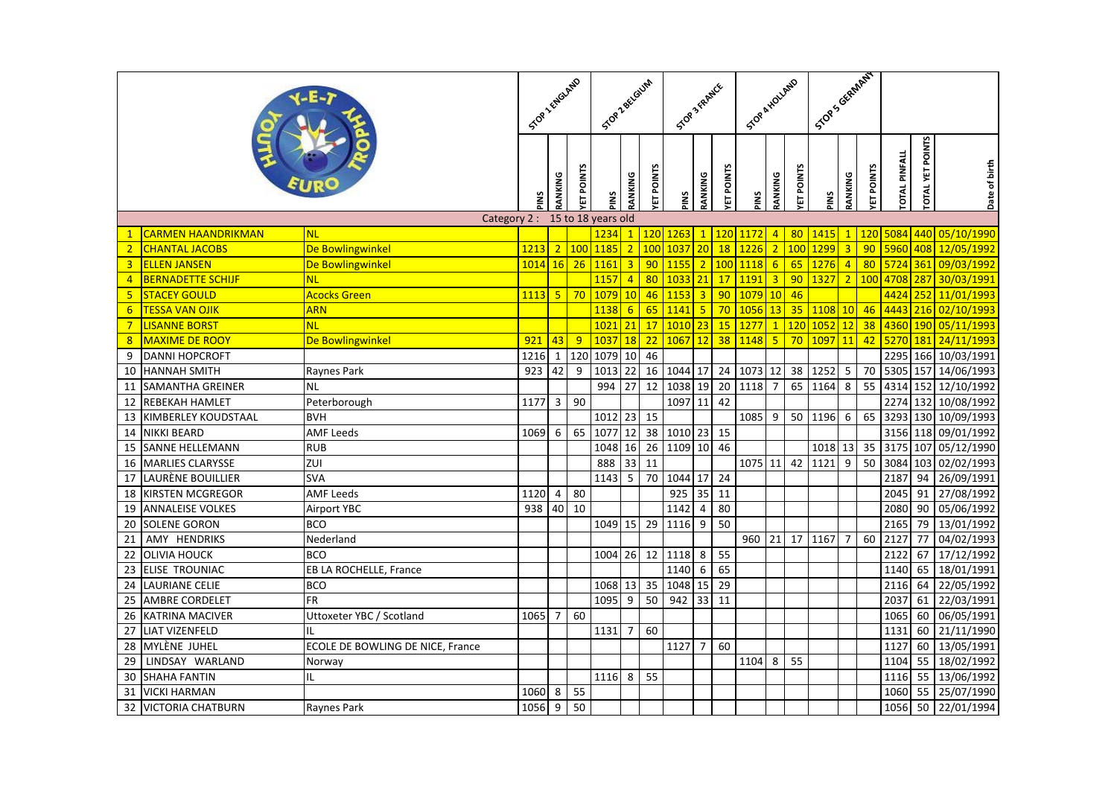|                  |                            |                                  |         |                         |                 | STOP Z BELGLUM |                         |                 | <b>SOP</b> 3 FRANCE |                         |                 | STOR A KOLLAND |                 |      | Scop's Graph AT |                         |                      |                  |               |                     |
|------------------|----------------------------|----------------------------------|---------|-------------------------|-----------------|----------------|-------------------------|-----------------|---------------------|-------------------------|-----------------|----------------|-----------------|------|-----------------|-------------------------|----------------------|------------------|---------------|---------------------|
|                  |                            | SOPT FRIGHT<br>SNId              | RANKING | <b>ET POINTS</b>        | SNId            | RANKING        | <b>ETPOINTS</b>         | PINS            | RANKING             | <b>ETPOINTS</b>         | PINS            | RANKING        | <b>ETPOINTS</b> | SNId | RANKING         | <b>ETPOINTS</b>         | <b>TOTAL PINFALL</b> | TOTAL YET POINTS | Date of birth |                     |
|                  |                            | Category 2: 15 to 18 years old   |         |                         |                 |                |                         |                 |                     |                         |                 |                |                 |      |                 |                         |                      |                  |               |                     |
| $\mathbf{1}$     | <b>CARMEN HAANDRIKMAN</b>  | <b>NL</b>                        |         |                         |                 | 1234           | $\mathbf{1}$            | 120             | 126 <sup>2</sup>    | $\mathbf{1}$            | 120             | 1172           | $\overline{4}$  | 80   | 1415            | $\mathbf{1}$            | 120                  | 5084             |               | 440 05/10/1990      |
| 2 <sup>1</sup>   | <b>CHANTAL JACOBS</b>      | De Bowlingwinkel                 | 1213    |                         | 2 100           | 1185           | $\overline{2}$          | 100             | 1037                | 20                      | 18              | 1226           | $\overline{2}$  | 100  | 1299            | $\overline{3}$          | 90                   | 5960             |               | 408 12/05/1992      |
| $\overline{3}$   | <b>ELLEN JANSEN</b>        | De Bowlingwinkel                 | 1014    | <b>16</b>               | 26              | 1161           | $\overline{\mathbf{3}}$ | 90              | 1155                | $\overline{2}$          | 100             | 1118           | $6\overline{6}$ | 65   | 1276            | $\overline{4}$          | 80                   | 5724             | 361           | 09/03/1992          |
| $\overline{4}$   | <b>BERNADETTE SCHIJF</b>   | <b>NL</b>                        |         |                         |                 | 1157           | $\overline{4}$          | 80              | 1033                | $\overline{21}$         | 17              | 1191           | $\overline{3}$  | 90   | 1327            | $\overline{2}$          | 100                  | 4708             | 287           | 30/03/1991          |
| 5 <sup>1</sup>   | <b>STACEY GOULD</b>        | <b>Acocks Green</b>              | 1113    | $\overline{\mathbf{5}}$ | 70              | 1079           | 10                      | 46              | 1153                | $\overline{3}$          | 90              | 1079 10        |                 | 46   |                 |                         |                      |                  |               | 4424 252 11/01/1993 |
| $6 \overline{6}$ | <b>TESSA VAN OJIK</b>      | <b>ARN</b>                       |         |                         |                 | 1138           | $6\overline{6}$         | 65              | 1141                | $\overline{\mathbf{5}}$ | 70              | 1056 13        |                 | 35   | 1108            | 10                      | 46                   | 4443             |               | 216 02/10/1993      |
| $7\overline{}$   | <mark>LISANNE BORST</mark> | <b>NL</b>                        |         |                         |                 | 1021           | 21                      | 17              | 1010                | 23                      | 15              | 1277           | $\overline{1}$  | 120  | 1052            | 12                      | 38                   | 4360             |               | 190 05/11/1993      |
| 8                | <b>MAXIME DE ROOY</b>      | De Bowlingwinkel                 | 921     | 43                      | 9               | 1037           | <b>18</b>               | $\overline{22}$ | 1067                | 12                      | 38              | 1148           | $5\phantom{.0}$ | 70   | 1097            | 11                      | 42                   | 5270             | <b>181</b>    | 24/11/1993          |
| 9                | <b>DANNI HOPCROFT</b>      |                                  | 1216    | $\overline{1}$          | 120             | 1079           | 10                      | 46              |                     |                         |                 |                |                 |      |                 |                         |                      | 2295             |               | 166 10/03/1991      |
| 10               | <b>HANNAH SMITH</b>        | Raynes Park                      | 923     | 42                      | 9               | 1013           | 22                      | 16              | 1044                | 17                      | 24              | 1073 12        |                 | 38   | 1252            | 5                       | 70                   | 5305             |               | 157 14/06/1993      |
| 11               | SAMANTHA GREINER           | <b>NL</b>                        |         |                         |                 | 994            | 27                      | 12              | 1038                | 19                      | 20              | 1118           | $\overline{7}$  | 65   | 1164            | $\overline{\mathbf{8}}$ | 55                   | 4314             |               | 152 12/10/1992      |
| 12               | REBEKAH HAMLET             | Peterborough                     | 1177    | 3                       | 90              |                |                         |                 | 1097                | 11                      | 42              |                |                 |      |                 |                         |                      | 2274             |               | 132 10/08/1992      |
| 13               | KIMBERLEY KOUDSTAAL        | <b>BVH</b>                       |         |                         |                 | 1012           | 23                      | 15              |                     |                         |                 | 1085           | 9               | 50   | 1196            | 6                       | 65                   | 3293             |               | 130 10/09/1993      |
| 14               | <b>NIKKI BEARD</b>         | <b>AMF Leeds</b>                 | 1069    | 6                       | 65              | 1077           | 12                      | 38              | 1010 23             |                         | 15              |                |                 |      |                 |                         |                      |                  |               | 3156 118 09/01/1992 |
| 15               | <b>SANNE HELLEMANN</b>     | <b>RUB</b>                       |         |                         |                 | 1048           | 16                      | $\overline{26}$ | 1109 10             |                         | 46              |                |                 |      | 1018            | 13                      | $\overline{35}$      | 3175             |               | 107 05/12/1990      |
| 16               | <b>MARLIES CLARYSSE</b>    | <b>ZUI</b>                       |         |                         |                 | 888            | 33                      | $\overline{11}$ |                     |                         |                 | 1075 11        |                 | 42   | 1121            | 9                       | 50                   | 3084             | 103           | 02/02/1993          |
| 17               | LAURÈNE BOUILLIER          | <b>SVA</b>                       |         |                         |                 | 1143           | 5                       | 70              | 1044 17             |                         | 24              |                |                 |      |                 |                         |                      | 2187             | 94            | 26/09/1991          |
| 18               | KIRSTEN MCGREGOR           | <b>AMF Leeds</b>                 | 1120    | 4                       | 80              |                |                         |                 | 925                 | 35                      | 11              |                |                 |      |                 |                         |                      | 2045             | 91            | 27/08/1992          |
| 19               | <b>ANNALEISE VOLKES</b>    | <b>Airport YBC</b>               | 938     | 40                      | $\overline{10}$ |                |                         |                 | 1142                | 4                       | 80              |                |                 |      |                 |                         |                      | 2080             |               | 90 05/06/1992       |
| 20               | <b>SOLENE GORON</b>        | <b>BCO</b>                       |         |                         |                 | 1049           | 15                      | 29              | 1116                | 9                       | 50              |                |                 |      |                 |                         |                      | 2165             | 79            | 13/01/1992          |
| 21               | AMY HENDRIKS               | Nederland                        |         |                         |                 |                |                         |                 |                     |                         |                 | 960 21         |                 | 17   | 1167            | $\overline{7}$          | 60                   | 2127             | 77            | 04/02/1993          |
| 22               | <b>OLIVIA HOUCK</b>        | <b>BCO</b>                       |         |                         |                 | 1004           | 26                      | 12              | 1118                | 8                       | 55              |                |                 |      |                 |                         |                      | 2122             | 67            | 17/12/1992          |
| 23               | ELISE TROUNIAC             | EB LA ROCHELLE, France           |         |                         |                 |                |                         |                 | 1140                | 6                       | 65              |                |                 |      |                 |                         |                      | 1140             | 65            | 18/01/1991          |
| 24               | <b>LAURIANE CELIE</b>      | <b>BCO</b>                       |         |                         |                 | 1068           | 13                      | $\overline{35}$ | 1048                | 15                      | $\overline{29}$ |                |                 |      |                 |                         |                      | 2116             | 64            | 22/05/1992          |
| 25               | AMBRE CORDELET             | FR                               |         |                         |                 | 1095           | $\boldsymbol{9}$        | 50              | 942                 | 33                      | 11              |                |                 |      |                 |                         |                      | 2037             | 61            | 22/03/1991          |
| 26               | <b>KATRINA MACIVER</b>     | Uttoxeter YBC / Scotland         | 1065    | 7                       | 60              |                |                         |                 |                     |                         |                 |                |                 |      |                 |                         |                      | 1065             | 60            | 06/05/1991          |
| 27               | <b>LIAT VIZENFELD</b>      | IL                               |         |                         |                 | 1131           | $\overline{7}$          | 60              |                     |                         |                 |                |                 |      |                 |                         |                      | 1131             | 60            | 21/11/1990          |
| 28               | MYLÈNE JUHEL               | ECOLE DE BOWLING DE NICE, France |         |                         |                 |                |                         |                 | 1127                | $\overline{7}$          | 60              |                |                 |      |                 |                         |                      | 1127             | 60 l          | 13/05/1991          |
| 29               | LINDSAY WARLAND            | Norway                           |         |                         |                 |                |                         |                 |                     |                         |                 | 1104           | 8               | 55   |                 |                         |                      | 1104             | 55            | 18/02/1992          |
| 30               | <b>SHAHA FANTIN</b>        | IL                               |         |                         |                 | 1116           | 8                       | $\overline{55}$ |                     |                         |                 |                |                 |      |                 |                         |                      | 1116             | 55            | 13/06/1992          |
| 31               | <b>VICKI HARMAN</b>        |                                  | 1060    | 8                       | 55              |                |                         |                 |                     |                         |                 |                |                 |      |                 |                         |                      | 1060             | 55            | 25/07/1990          |
| 32               | <b>VICTORIA CHATBURN</b>   | Raynes Park                      | 1056    | $9\,$                   | 50              |                |                         |                 |                     |                         |                 |                |                 |      |                 |                         |                      | 1056             | 50            | 22/01/1994          |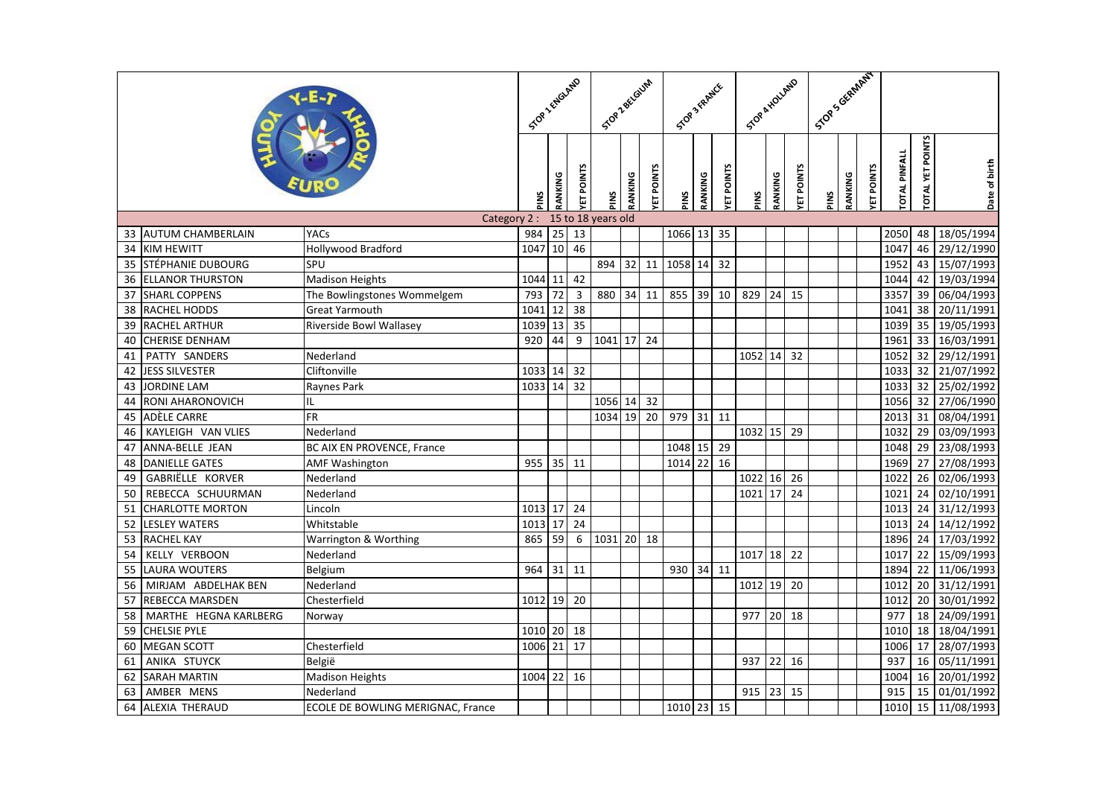|    |                         |                                   |         |                   | STOP 2 ENGLAND  |                    |                   | STOP Z BELGIUM | STOP 3 FRAMER |                  |                 | STOR A HOLLAND |                  |                 | I Stop Scientified |                  |                      |                         |               |               |
|----|-------------------------|-----------------------------------|---------|-------------------|-----------------|--------------------|-------------------|----------------|---------------|------------------|-----------------|----------------|------------------|-----------------|--------------------|------------------|----------------------|-------------------------|---------------|---------------|
|    |                         | SNId                              | RANKING | <b>VET POINTS</b> | SNId            | RANKING            | <b>TET POINTS</b> | PINS           | RANKING       | <b>ET POINTS</b> | PINS            | RANKING        | <b>ET POINTS</b> | PINS            | RANKING            | <b>ET POINTS</b> | <b>TOTAL PINFALL</b> | <b>TOTAL YET POINTS</b> | Date of birth |               |
|    |                         | Category 2:                       |         |                   |                 | 15 to 18 years old |                   |                |               |                  |                 |                |                  |                 |                    |                  |                      |                         |               |               |
|    | 33 AUTUM CHAMBERLAIN    | YACs                              | 984     | 25                | 13              |                    |                   |                | 1066 13       |                  | 35              |                |                  |                 |                    |                  |                      | 2050                    | 48            | 18/05/1994    |
| 34 | <b>KIM HEWITT</b>       | <b>Hollywood Bradford</b>         | 1047    | 10                | 46              |                    |                   |                |               |                  |                 |                |                  |                 |                    |                  |                      | 1047                    | 46            | 29/12/1990    |
| 35 | STÉPHANIE DUBOURG       | SPU                               |         |                   |                 | 894                | 32                | 11             | 1058 14       |                  | 32              |                |                  |                 |                    |                  |                      | 1952                    | 43            | 15/07/1993    |
| 36 | <b>ELLANOR THURSTON</b> | <b>Madison Heights</b>            | 1044    | 11                | 42              |                    |                   |                |               |                  |                 |                |                  |                 |                    |                  |                      | 1044                    | 42            | 19/03/1994    |
| 37 | <b>SHARL COPPENS</b>    | The Bowlingstones Wommelgem       | 793     | $\overline{72}$   | $\mathbf{3}$    | 880                | 34                | 11             | 855           | 39               | 10              | 829            | 24               | 15              |                    |                  |                      | 3357                    | 39            | 06/04/1993    |
| 38 | <b>RACHEL HODDS</b>     | <b>Great Yarmouth</b>             | 1041    | 12                | $\overline{38}$ |                    |                   |                |               |                  |                 |                |                  |                 |                    |                  |                      | 1041                    | 38            | 20/11/1991    |
| 39 | <b>RACHEL ARTHUR</b>    | Riverside Bowl Wallasey           | 1039    | 13                | 35              |                    |                   |                |               |                  |                 |                |                  |                 |                    |                  |                      | 1039                    | 35            | 19/05/1993    |
| 40 | <b>CHERISE DENHAM</b>   |                                   | 920     | 44                | 9               | 1041               | 17                | 24             |               |                  |                 |                |                  |                 |                    |                  |                      | 1961                    | 33            | 16/03/1991    |
| 41 | PATTY SANDERS           | Nederland                         |         |                   |                 |                    |                   |                |               |                  |                 | 1052 14        |                  | 32              |                    |                  |                      | 1052                    |               | 32 29/12/1991 |
| 42 | <b>JESS SILVESTER</b>   | Cliftonville                      | 1033 14 |                   | 32              |                    |                   |                |               |                  |                 |                |                  |                 |                    |                  |                      | 1033                    |               | 32 21/07/1992 |
| 43 | <b>JORDINE LAM</b>      | Raynes Park                       | 1033 14 |                   | 32              |                    |                   |                |               |                  |                 |                |                  |                 |                    |                  |                      | 1033                    |               | 32 25/02/1992 |
| 44 | RONI AHARONOVICH        | IL                                |         |                   |                 | 1056 14            |                   | 32             |               |                  |                 |                |                  |                 |                    |                  |                      | 1056                    | 32            | 27/06/1990    |
| 45 | <b>ADÈLE CARRE</b>      | FR                                |         |                   |                 | 1034 19            |                   | 20             | 979           | $31$ 11          |                 |                |                  |                 |                    |                  |                      | 2013                    | 31            | 08/04/1991    |
| 46 | KAYLEIGH VAN VLIES      | Nederland                         |         |                   |                 |                    |                   |                |               |                  |                 | 1032 15        |                  | 29              |                    |                  |                      | 1032                    | 29            | 03/09/1993    |
| 47 | ANNA-BELLE JEAN         | <b>BC AIX EN PROVENCE, France</b> |         |                   |                 |                    |                   |                | 1048 15       |                  | 29              |                |                  |                 |                    |                  |                      | 1048                    | 29            | 23/08/1993    |
| 48 | <b>DANIELLE GATES</b>   | <b>AMF Washington</b>             | 955     | 35                | 11              |                    |                   |                | 1014 22       |                  | $\overline{16}$ |                |                  |                 |                    |                  |                      | 1969                    | 27            | 27/08/1993    |
| 49 | GABRIËLLE KORVER        | Nederland                         |         |                   |                 |                    |                   |                |               |                  |                 | 1022 16        |                  | 26              |                    |                  |                      | 1022                    | 26            | 02/06/1993    |
| 50 | REBECCA SCHUURMAN       | Nederland                         |         |                   |                 |                    |                   |                |               |                  |                 | 1021 17        |                  | $\overline{24}$ |                    |                  |                      | 1021                    | 24            | 02/10/1991    |
| 51 | <b>CHARLOTTE MORTON</b> | Lincoln                           | 1013    | 17                | 24              |                    |                   |                |               |                  |                 |                |                  |                 |                    |                  |                      | 1013                    | 24            | 31/12/1993    |
| 52 | <b>LESLEY WATERS</b>    | Whitstable                        | 1013    | 17                | 24              |                    |                   |                |               |                  |                 |                |                  |                 |                    |                  |                      | 1013                    | 24            | 14/12/1992    |
| 53 | <b>RACHEL KAY</b>       | Warrington & Worthing             | 865     | 59                | $6\phantom{a}$  | 1031 20            |                   | 18             |               |                  |                 |                |                  |                 |                    |                  |                      | 1896                    | 24            | 17/03/1992    |
| 54 | KELLY VERBOON           | Nederland                         |         |                   |                 |                    |                   |                |               |                  |                 | 1017 18        |                  | 22              |                    |                  |                      | 1017                    | 22            | 15/09/1993    |
| 55 | <b>LAURA WOUTERS</b>    | Belgium                           | 964     | 31                | 11              |                    |                   |                | 930           | 34 11            |                 |                |                  |                 |                    |                  |                      | 1894                    | 22            | 11/06/1993    |
| 56 | MIRJAM ABDELHAK BEN     | Nederland                         |         |                   |                 |                    |                   |                |               |                  |                 | 1012 19        |                  | 20              |                    |                  |                      | 1012                    | 20            | 31/12/1991    |
| 57 | REBECCA MARSDEN         | Chesterfield                      | 1012    | 19                | 20              |                    |                   |                |               |                  |                 |                |                  |                 |                    |                  |                      | 1012                    | 20            | 30/01/1992    |
| 58 | MARTHE HEGNA KARLBERG   | Norway                            |         |                   |                 |                    |                   |                |               |                  |                 | 977 20         |                  | 18              |                    |                  |                      | 977                     | 18            | 24/09/1991    |
| 59 | <b>CHELSIE PYLE</b>     |                                   | 1010    | 20                | 18              |                    |                   |                |               |                  |                 |                |                  |                 |                    |                  |                      | 1010                    |               | 18 18/04/1991 |
| 60 | <b>MEGAN SCOTT</b>      | Chesterfield                      | 1006    | 21                | 17              |                    |                   |                |               |                  |                 |                |                  |                 |                    |                  |                      | 1006                    | 17            | 28/07/1993    |
| 61 | ANIKA STUYCK            | België                            |         |                   |                 |                    |                   |                |               |                  |                 | 937            | 22               | 16              |                    |                  |                      | 937                     | 16            | 05/11/1991    |
| 62 | <b>SARAH MARTIN</b>     | <b>Madison Heights</b>            | 1004 22 |                   | 16              |                    |                   |                |               |                  |                 |                |                  |                 |                    |                  |                      | 1004                    | 16            | 20/01/1992    |
| 63 | AMBER MENS              | Nederland                         |         |                   |                 |                    |                   |                |               |                  |                 | 915 23         |                  | 15              |                    |                  |                      | 915                     | 15            | 01/01/1992    |
| 64 | ALEXIA THERAUD          | ECOLE DE BOWLING MERIGNAC, France |         |                   |                 |                    |                   |                | 1010 23 15    |                  |                 |                |                  |                 |                    |                  |                      | 1010                    | 15            | 11/08/1993    |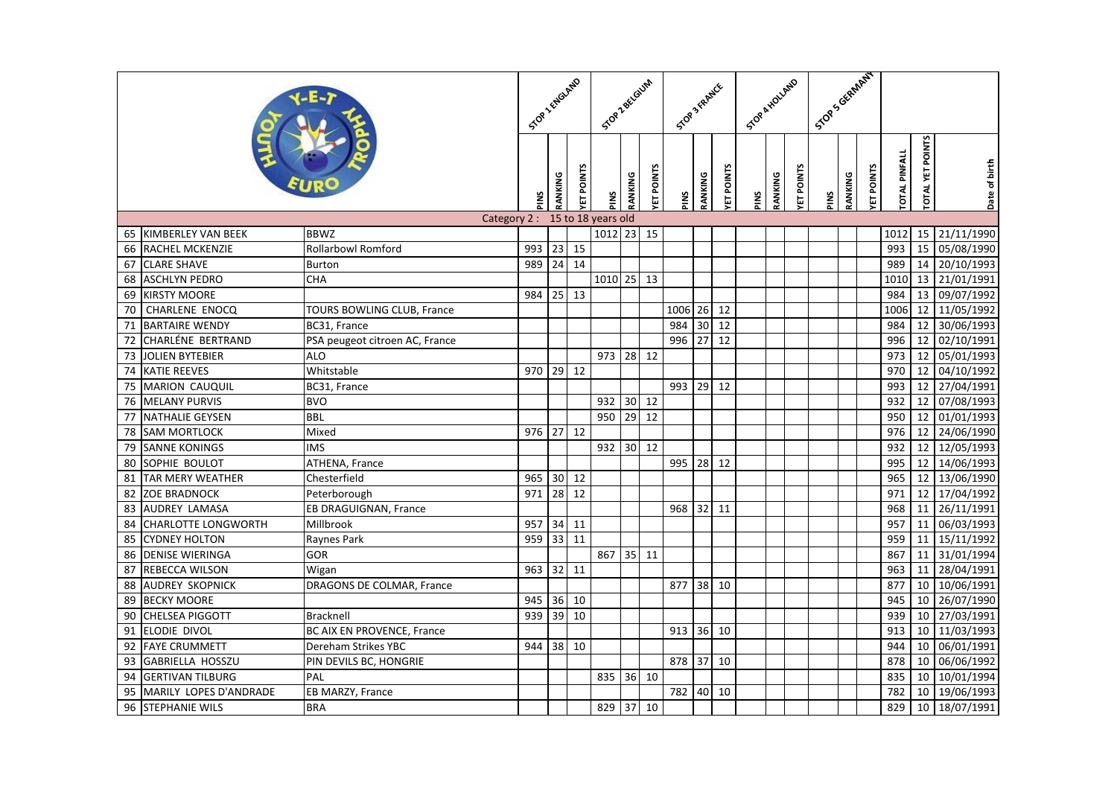|    |                            |                                |     |                 | STOR TENGLAND    |         |         | Stop Zectorium   | STOP 3 YARNCE |         |                  | STOR A HOLLAND |         |                  | Stor Scientified |         |                  |                      |                         |               |
|----|----------------------------|--------------------------------|-----|-----------------|------------------|---------|---------|------------------|---------------|---------|------------------|----------------|---------|------------------|------------------|---------|------------------|----------------------|-------------------------|---------------|
|    |                            |                                |     |                 | <b>ET POINTS</b> | SNId    | RANKING | <b>ET POINTS</b> | PINS          | RANKING | <b>ET POINTS</b> | PINS           | RANKING | <b>ET POINTS</b> | PINS             | RANKING | <b>ET POINTS</b> | <b>TOTAL PINFALL</b> | <b>TOTAL YET POINTS</b> | Date of birth |
|    |                            | Category 2: 15 to 18 years old |     |                 |                  |         |         |                  |               |         |                  |                |         |                  |                  |         |                  |                      |                         |               |
|    | 65 KIMBERLEY VAN BEEK      | <b>BBWZ</b>                    |     |                 |                  | 1012 23 |         | 15               |               |         |                  |                |         |                  |                  |         |                  | 1012                 |                         | 15 21/11/1990 |
| 66 | <b>RACHEL MCKENZIE</b>     | <b>Rollarbowl Romford</b>      | 993 | 23              | 15               |         |         |                  |               |         |                  |                |         |                  |                  |         |                  | 993                  | 15                      | 05/08/1990    |
| 67 | <b>CLARE SHAVE</b>         | <b>Burton</b>                  | 989 | 24              | 14               |         |         |                  |               |         |                  |                |         |                  |                  |         |                  | 989                  | 14                      | 20/10/1993    |
| 68 | <b>ASCHLYN PEDRO</b>       | <b>CHA</b>                     |     |                 |                  | 1010 25 |         | 13               |               |         |                  |                |         |                  |                  |         |                  | 1010                 | 13                      | 21/01/1991    |
| 69 | <b>KIRSTY MOORE</b>        |                                | 984 | 25              | 13               |         |         |                  |               |         |                  |                |         |                  |                  |         |                  | 984                  |                         | 13 09/07/1992 |
| 70 | CHARLENE ENOCQ             | TOURS BOWLING CLUB, France     |     |                 |                  |         |         |                  | 1006          | 26      | 12               |                |         |                  |                  |         |                  | 1006                 | 12                      | 11/05/1992    |
| 71 | <b>BARTAIRE WENDY</b>      | BC31, France                   |     |                 |                  |         |         |                  | 984           | 30      | 12               |                |         |                  |                  |         |                  | 984                  | 12                      | 30/06/1993    |
| 72 | CHARLÉNE BERTRAND          | PSA peugeot citroen AC, France |     |                 |                  |         |         |                  | 996           | 27      | 12               |                |         |                  |                  |         |                  | 996                  | 12                      | 02/10/1991    |
| 73 | <b>JOLIEN BYTEBIER</b>     | <b>ALO</b>                     |     |                 |                  | 973     | 28      | 12               |               |         |                  |                |         |                  |                  |         |                  | 973                  | 12                      | 05/01/1993    |
| 74 | <b>KATIE REEVES</b>        | Whitstable                     | 970 | 29              | 12               |         |         |                  |               |         |                  |                |         |                  |                  |         |                  | 970                  | 12                      | 04/10/1992    |
| 75 | <b>MARION CAUQUIL</b>      | BC31, France                   |     |                 |                  |         |         |                  | 993           | 29 12   |                  |                |         |                  |                  |         |                  | 993                  |                         | 12 27/04/1991 |
| 76 | <b>MELANY PURVIS</b>       | <b>BVO</b>                     |     |                 |                  | 932     | 30      | 12               |               |         |                  |                |         |                  |                  |         |                  | 932                  | 12                      | 07/08/1993    |
| 77 | <b>NATHALIE GEYSEN</b>     | <b>BBL</b>                     |     |                 |                  | 950     | 29      | 12               |               |         |                  |                |         |                  |                  |         |                  | 950                  | 12                      | 01/01/1993    |
| 78 | <b>SAM MORTLOCK</b>        | Mixed                          | 976 | 27              | 12               |         |         |                  |               |         |                  |                |         |                  |                  |         |                  | 976                  | 12                      | 24/06/1990    |
| 79 | <b>SANNE KONINGS</b>       | <b>IMS</b>                     |     |                 |                  | 932     |         | 30 12            |               |         |                  |                |         |                  |                  |         |                  | 932                  | 12                      | 12/05/1993    |
| 80 | SOPHIE BOULOT              | <b>ATHENA, France</b>          |     |                 |                  |         |         |                  | 995           | 28 12   |                  |                |         |                  |                  |         |                  | 995                  | 12                      | 14/06/1993    |
| 81 | <b>TAR MERY WEATHER</b>    | Chesterfield                   | 965 | 30              | 12               |         |         |                  |               |         |                  |                |         |                  |                  |         |                  | 965                  |                         | 12 13/06/1990 |
| 82 | <b>ZOE BRADNOCK</b>        | Peterborough                   | 971 | $\overline{28}$ | 12               |         |         |                  |               |         |                  |                |         |                  |                  |         |                  | 971                  |                         | 12 17/04/1992 |
| 83 | <b>AUDREY LAMASA</b>       | EB DRAGUIGNAN, France          |     |                 |                  |         |         |                  | 968           | 32 11   |                  |                |         |                  |                  |         |                  | 968                  | 11                      | 26/11/1991    |
| 84 | <b>CHARLOTTE LONGWORTH</b> | Millbrook                      | 957 | 34              | 11               |         |         |                  |               |         |                  |                |         |                  |                  |         |                  | 957                  | 11                      | 06/03/1993    |
| 85 | <b>CYDNEY HOLTON</b>       | Raynes Park                    | 959 | 33              | 11               |         |         |                  |               |         |                  |                |         |                  |                  |         |                  | 959                  | 11                      | 15/11/1992    |
| 86 | <b>DENISE WIERINGA</b>     | GOR                            |     |                 |                  | 867     | 35      | 11               |               |         |                  |                |         |                  |                  |         |                  | 867                  |                         | 11 31/01/1994 |
| 87 | REBECCA WILSON             | Wigan                          | 963 | 32              | 11               |         |         |                  |               |         |                  |                |         |                  |                  |         |                  | 963                  | 11                      | 28/04/1991    |
| 88 | <b>AUDREY SKOPNICK</b>     | DRAGONS DE COLMAR, France      |     |                 |                  |         |         |                  | 877           | 38 10   |                  |                |         |                  |                  |         |                  | 877                  | 10                      | 10/06/1991    |
| 89 | <b>BECKY MOORE</b>         |                                | 945 | 36              | 10               |         |         |                  |               |         |                  |                |         |                  |                  |         |                  | 945                  | 10                      | 26/07/1990    |
| 90 | CHELSEA PIGGOTT            | <b>Bracknell</b>               | 939 | 39              | 10               |         |         |                  |               |         |                  |                |         |                  |                  |         |                  | 939                  | 10                      | 27/03/1991    |
| 91 | ELODIE DIVOL               | BC AIX EN PROVENCE, France     |     |                 |                  |         |         |                  | 913           | 36 10   |                  |                |         |                  |                  |         |                  | 913                  |                         | 10 11/03/1993 |
| 92 | <b>FAYE CRUMMETT</b>       | Dereham Strikes YBC            | 944 | 38              | 10               |         |         |                  |               |         |                  |                |         |                  |                  |         |                  | 944                  | 10 <sup>1</sup>         | 06/01/1991    |
| 93 | GABRIELLA HOSSZU           | PIN DEVILS BC, HONGRIE         |     |                 |                  |         |         |                  | 878           | 37      | 10               |                |         |                  |                  |         |                  | 878                  | 10                      | 06/06/1992    |
| 94 | <b>GERTIVAN TILBURG</b>    | PAL                            |     |                 |                  | 835     | 36      | 10               |               |         |                  |                |         |                  |                  |         |                  | 835                  | 10                      | 10/01/1994    |
| 95 | MARILY LOPES D'ANDRADE     | EB MARZY, France               |     |                 |                  |         |         |                  | 782           | 40 10   |                  |                |         |                  |                  |         |                  | 782                  | 10                      | 19/06/1993    |
| 96 | <b>STEPHANIE WILS</b>      | <b>BRA</b>                     |     |                 |                  | 829     | 37      | 10               |               |         |                  |                |         |                  |                  |         |                  | 829                  | 10                      | 18/07/1991    |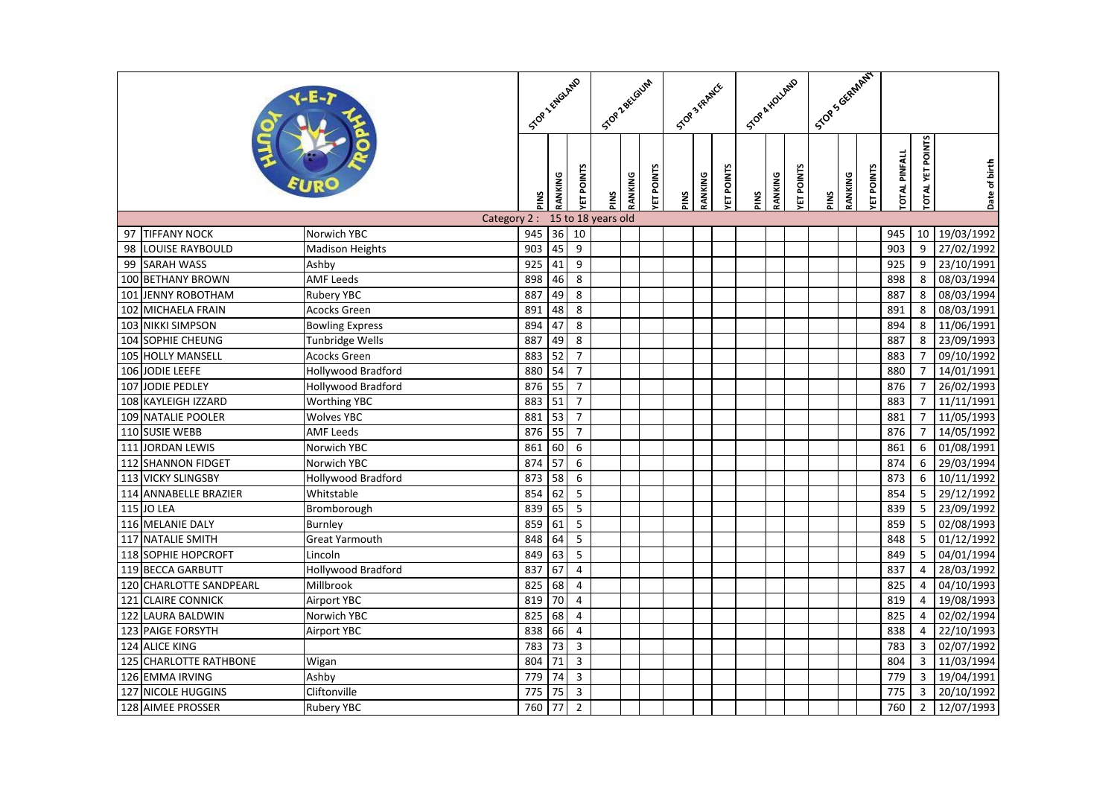|                                           | STOP 2 ENGLAND         |                  | STOR Z BELGLUM    |                         | STOP 3 FRAMER      |                  |      | STOP & HOLLAND |                  |      | I Stop Scientified |                  |      |         |                  |                      |                         |                 |            |
|-------------------------------------------|------------------------|------------------|-------------------|-------------------------|--------------------|------------------|------|----------------|------------------|------|--------------------|------------------|------|---------|------------------|----------------------|-------------------------|-----------------|------------|
|                                           | SNId                   | RANKING          | <b>YET POINTS</b> | SNId                    | RANKING            | <b>ET POINTS</b> | PINS | RANKING        | <b>ET POINTS</b> | PINS | RANKING            | <b>ET POINTS</b> | PINS | RANKING | <b>ET POINTS</b> | <b>TOTAL PINFALL</b> | <b>TOTAL YET POINTS</b> | Date of birth   |            |
|                                           | Category 2:            |                  |                   |                         | 15 to 18 years old |                  |      |                |                  |      |                    |                  |      |         |                  |                      |                         |                 |            |
| <b>TIFFANY NOCK</b><br>97                 | Norwich YBC            | 945              | 36                | 10                      |                    |                  |      |                |                  |      |                    |                  |      |         |                  |                      | 945                     | 10              | 19/03/1992 |
| <b>LOUISE RAYBOULD</b><br>98              | <b>Madison Heights</b> | 903              | 45                | 9                       |                    |                  |      |                |                  |      |                    |                  |      |         |                  |                      | 903                     | 9               | 27/02/1992 |
| <b>SARAH WASS</b><br>99                   | Ashby                  | $\overline{925}$ | 41                | $\overline{9}$          |                    |                  |      |                |                  |      |                    |                  |      |         |                  |                      | 925                     | 9               | 23/10/1991 |
| 100 BETHANY BROWN                         | <b>AMF Leeds</b>       | 898              | 46                | $\overline{8}$          |                    |                  |      |                |                  |      |                    |                  |      |         |                  |                      | 898                     | 8               | 08/03/1994 |
| 101 JENNY ROBOTHAM                        | Rubery YBC             | 887              | 49                | 8                       |                    |                  |      |                |                  |      |                    |                  |      |         |                  |                      | 887                     | 8               | 08/03/1994 |
| 102 MICHAELA FRAIN                        | Acocks Green           | 891              | 48                | 8                       |                    |                  |      |                |                  |      |                    |                  |      |         |                  |                      | 891                     | 8               | 08/03/1991 |
| 103<br><b>NIKKI SIMPSON</b>               | <b>Bowling Express</b> | 894              | 47                | 8                       |                    |                  |      |                |                  |      |                    |                  |      |         |                  |                      | 894                     | 8               | 11/06/1991 |
| 104<br>SOPHIE CHEUNG                      | <b>Tunbridge Wells</b> | 887              | 49                | $\overline{8}$          |                    |                  |      |                |                  |      |                    |                  |      |         |                  |                      | 887                     | 8               | 23/09/1993 |
| 105 HOLLY MANSELL                         | Acocks Green           | 883              | 52                | $\overline{7}$          |                    |                  |      |                |                  |      |                    |                  |      |         |                  |                      | 883                     | $\overline{7}$  | 09/10/1992 |
| 106 JODIE LEEFE                           | Hollywood Bradford     | 880              | 54                | $\overline{7}$          |                    |                  |      |                |                  |      |                    |                  |      |         |                  |                      | 880                     | $\overline{7}$  | 14/01/1991 |
| 107 JODIE PEDLEY                          | Hollywood Bradford     | 876              | 55                | $\overline{7}$          |                    |                  |      |                |                  |      |                    |                  |      |         |                  |                      | 876                     | $\overline{7}$  | 26/02/1993 |
| 108<br>KAYLEIGH IZZARD                    | <b>Worthing YBC</b>    | 883              | 51                | $\overline{7}$          |                    |                  |      |                |                  |      |                    |                  |      |         |                  |                      | 883                     | $\overline{7}$  | 11/11/1991 |
| 109 NATALIE POOLER                        | <b>Wolves YBC</b>      | 881              | 53                | $\overline{7}$          |                    |                  |      |                |                  |      |                    |                  |      |         |                  |                      | 881                     | $\overline{7}$  | 11/05/1993 |
| 110 SUSIE WEBB                            | <b>AMF Leeds</b>       | 876              | 55                | $\overline{7}$          |                    |                  |      |                |                  |      |                    |                  |      |         |                  |                      | 876                     | $\overline{7}$  | 14/05/1992 |
| 111 JORDAN LEWIS                          | Norwich YBC            | 861              | 60                | 6                       |                    |                  |      |                |                  |      |                    |                  |      |         |                  |                      | 861                     | 6               | 01/08/1991 |
| $\overline{1}12$<br><b>SHANNON FIDGET</b> | Norwich YBC            | 874              | 57                | 6                       |                    |                  |      |                |                  |      |                    |                  |      |         |                  |                      | 874                     | 6               | 29/03/1994 |
| <b>VICKY SLINGSBY</b><br>113              | Hollywood Bradford     | 873              | 58                | 6                       |                    |                  |      |                |                  |      |                    |                  |      |         |                  |                      | 873                     | 6               | 10/11/1992 |
| 114 ANNABELLE BRAZIER                     | Whitstable             | 854              | 62                | $\overline{5}$          |                    |                  |      |                |                  |      |                    |                  |      |         |                  |                      | 854                     | 5               | 29/12/1992 |
| 115 JO LEA                                | Bromborough            | 839              | 65                | $\overline{5}$          |                    |                  |      |                |                  |      |                    |                  |      |         |                  |                      | 839                     | $\overline{5}$  | 23/09/1992 |
| 116 MELANIE DALY                          | <b>Burnley</b>         | 859              | 61                | 5                       |                    |                  |      |                |                  |      |                    |                  |      |         |                  |                      | 859                     | 5               | 02/08/1993 |
| 117<br><b>NATALIE SMITH</b>               | <b>Great Yarmouth</b>  | 848              | 64                | $\overline{5}$          |                    |                  |      |                |                  |      |                    |                  |      |         |                  |                      | 848                     | 5               | 01/12/1992 |
| 118 SOPHIE HOPCROFT                       | Lincoln                | 849              | 63                | $\overline{5}$          |                    |                  |      |                |                  |      |                    |                  |      |         |                  |                      | 849                     | $5\phantom{.0}$ | 04/01/1994 |
| 119 BECCA GARBUTT                         | Hollywood Bradford     | 837              | 67                | $\overline{4}$          |                    |                  |      |                |                  |      |                    |                  |      |         |                  |                      | 837                     | $\overline{4}$  | 28/03/1992 |
| 120 CHARLOTTE SANDPEARL                   | Millbrook              | 825              | 68                | $\overline{\mathbf{4}}$ |                    |                  |      |                |                  |      |                    |                  |      |         |                  |                      | 825                     | $\overline{4}$  | 04/10/1993 |
| 121<br><b>CLAIRE CONNICK</b>              | <b>Airport YBC</b>     | 819              | 70                | $\overline{4}$          |                    |                  |      |                |                  |      |                    |                  |      |         |                  |                      | 819                     | $\overline{4}$  | 19/08/1993 |
| 122 LAURA BALDWIN                         | Norwich YBC            | 825              | 68                | $\overline{4}$          |                    |                  |      |                |                  |      |                    |                  |      |         |                  |                      | 825                     | $\overline{4}$  | 02/02/1994 |
| 123 PAIGE FORSYTH                         | <b>Airport YBC</b>     | 838              | 66                | $\overline{\mathbf{4}}$ |                    |                  |      |                |                  |      |                    |                  |      |         |                  |                      | 838                     | $\overline{4}$  | 22/10/1993 |
| 124 ALICE KING                            |                        | 783              | 73                | 3                       |                    |                  |      |                |                  |      |                    |                  |      |         |                  |                      | 783                     | 3               | 02/07/1992 |
| <b>CHARLOTTE RATHBONE</b><br>125          | Wigan                  | 804              | 71                | $\overline{\mathbf{3}}$ |                    |                  |      |                |                  |      |                    |                  |      |         |                  |                      | 804                     | 3               | 11/03/1994 |
| 126 EMMA IRVING                           | Ashby                  | 779              | 74                | $\overline{3}$          |                    |                  |      |                |                  |      |                    |                  |      |         |                  |                      | 779                     | 3               | 19/04/1991 |
| 127 NICOLE HUGGINS                        | Cliftonville           | 775              | 75                | $\mathsf 3$             |                    |                  |      |                |                  |      |                    |                  |      |         |                  |                      | 775                     | 3               | 20/10/1992 |
| 128 AIMEE PROSSER                         | <b>Rubery YBC</b>      | 760              | 77                | $\overline{2}$          |                    |                  |      |                |                  |      |                    |                  |      |         |                  |                      | 760                     | $\overline{2}$  | 12/07/1993 |